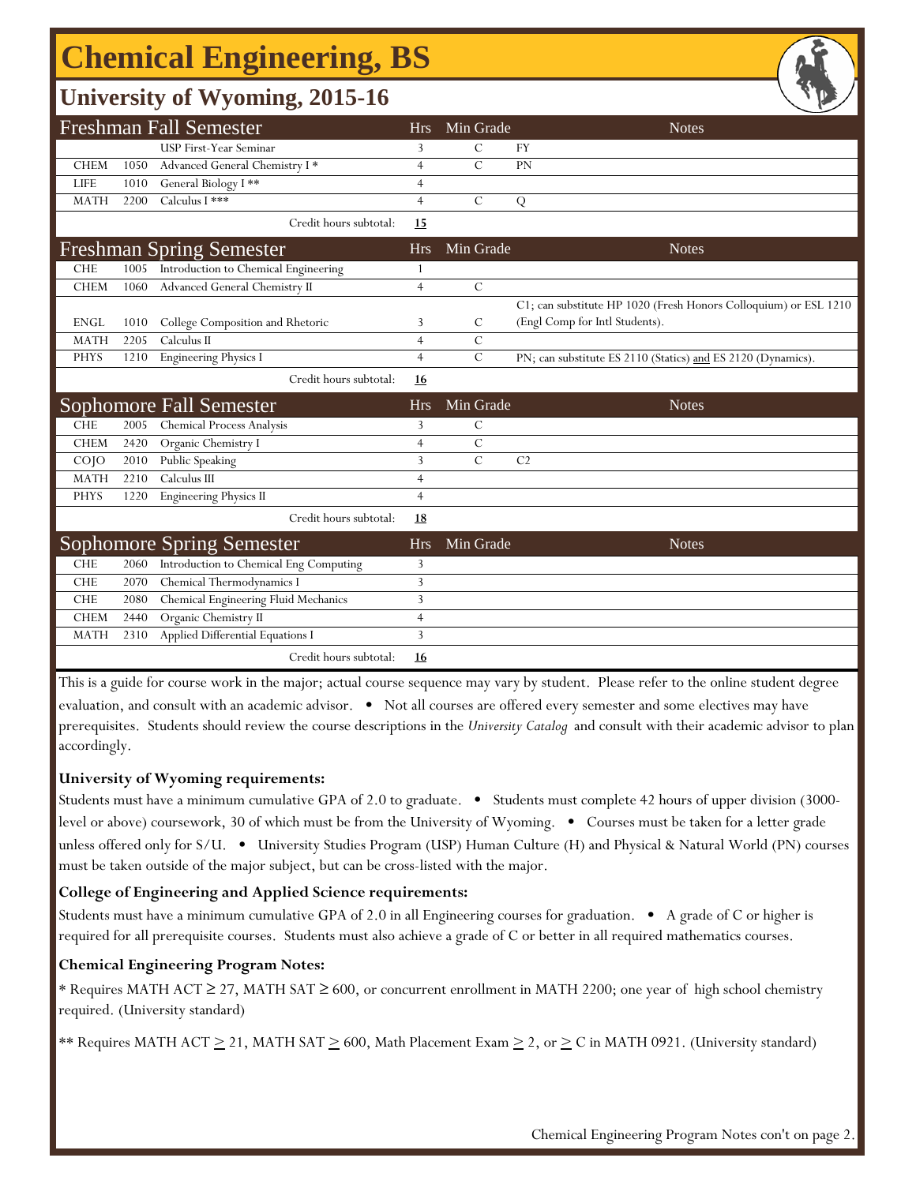# **Chemical Engineering, BS**

### **University of Wyoming, 2015-16**

| <b>Freshman Fall Semester</b>  |      |                                        | <b>Hrs</b>     | Min Grade     | <b>Notes</b>                                                     |
|--------------------------------|------|----------------------------------------|----------------|---------------|------------------------------------------------------------------|
|                                |      | USP First-Year Seminar                 | 3              | $\mathcal{C}$ | <b>FY</b>                                                        |
| <b>CHEM</b>                    | 1050 | Advanced General Chemistry I*          | $\overline{4}$ | $\mathcal{C}$ | PN                                                               |
| <b>LIFE</b>                    | 1010 | General Biology I**                    | 4              |               |                                                                  |
| <b>MATH</b>                    | 2200 | Calculus I ***                         | $\overline{4}$ | $\mathcal{C}$ | Q                                                                |
|                                |      | Credit hours subtotal:                 | 15             |               |                                                                  |
|                                |      | <b>Freshman Spring Semester</b>        | <b>Hrs</b>     | Min Grade     | <b>Notes</b>                                                     |
| <b>CHE</b>                     | 1005 | Introduction to Chemical Engineering   | 1              |               |                                                                  |
| <b>CHEM</b>                    | 1060 | Advanced General Chemistry II          | $\overline{4}$ | $\mathcal{C}$ |                                                                  |
|                                |      |                                        |                |               | C1; can substitute HP 1020 (Fresh Honors Colloquium) or ESL 1210 |
| <b>ENGL</b>                    | 1010 | College Composition and Rhetoric       | 3              | C             | (Engl Comp for Intl Students).                                   |
| <b>MATH</b>                    | 2205 | Calculus II                            | $\overline{4}$ | $\mathcal{C}$ |                                                                  |
| <b>PHYS</b>                    | 1210 | Engineering Physics I                  | $\overline{4}$ | $\mathcal{C}$ | PN; can substitute ES 2110 (Statics) and ES 2120 (Dynamics).     |
|                                |      | Credit hours subtotal:                 | 16             |               |                                                                  |
| <b>Sophomore Fall Semester</b> |      |                                        | <b>Hrs</b>     | Min Grade     | <b>Notes</b>                                                     |
| <b>CHE</b>                     | 2005 | <b>Chemical Process Analysis</b>       | 3              | C             |                                                                  |
| <b>CHEM</b>                    | 2420 | Organic Chemistry I                    | $\overline{4}$ | $\mathcal{C}$ |                                                                  |
| COJO                           | 2010 | Public Speaking                        | 3              | $\mathcal{C}$ | C <sub>2</sub>                                                   |
| <b>MATH</b>                    | 2210 | Calculus III                           | $\overline{4}$ |               |                                                                  |
| <b>PHYS</b>                    | 1220 | <b>Engineering Physics II</b>          | $\overline{4}$ |               |                                                                  |
|                                |      | Credit hours subtotal:                 | 18             |               |                                                                  |
|                                |      | <b>Sophomore Spring Semester</b>       | <b>Hrs</b>     | Min Grade     | <b>Notes</b>                                                     |
| <b>CHE</b>                     | 2060 | Introduction to Chemical Eng Computing | 3              |               |                                                                  |
| <b>CHE</b>                     | 2070 | Chemical Thermodynamics I              | 3              |               |                                                                  |
| <b>CHE</b>                     | 2080 | Chemical Engineering Fluid Mechanics   | 3              |               |                                                                  |
| <b>CHEM</b>                    | 2440 | Organic Chemistry II                   | $\overline{4}$ |               |                                                                  |
| <b>MATH</b>                    | 2310 | Applied Differential Equations I       | 3              |               |                                                                  |
|                                |      | Credit hours subtotal:                 | 16             |               |                                                                  |

This is a guide for course work in the major; actual course sequence may vary by student. Please refer to the online student degree evaluation, and consult with an academic advisor. • Not all courses are offered every semester and some electives may have prerequisites. Students should review the course descriptions in the *University Catalog* and consult with their academic advisor to plan accordingly.

### **University of Wyoming requirements:**

Students must have a minimum cumulative GPA of 2.0 to graduate. • Students must complete 42 hours of upper division (3000 level or above) coursework, 30 of which must be from the University of Wyoming. • Courses must be taken for a letter grade unless offered only for S/U. • University Studies Program (USP) Human Culture (H) and Physical & Natural World (PN) courses must be taken outside of the major subject, but can be cross-listed with the major.

### **College of Engineering and Applied Science requirements:**

Students must have a minimum cumulative GPA of 2.0 in all Engineering courses for graduation. • A grade of C or higher is required for all prerequisite courses. Students must also achieve a grade of C or better in all required mathematics courses.

### **Chemical Engineering Program Notes:**

\* Requires MATH ACT ≥ 27, MATH SAT ≥ 600, or concurrent enrollment in MATH 2200; one year of high school chemistry required. (University standard)

\*\* Requires MATH ACT  $\geq$  21, MATH SAT  $\geq$  600, Math Placement Exam  $\geq$  2, or  $\geq$  C in MATH 0921. (University standard)